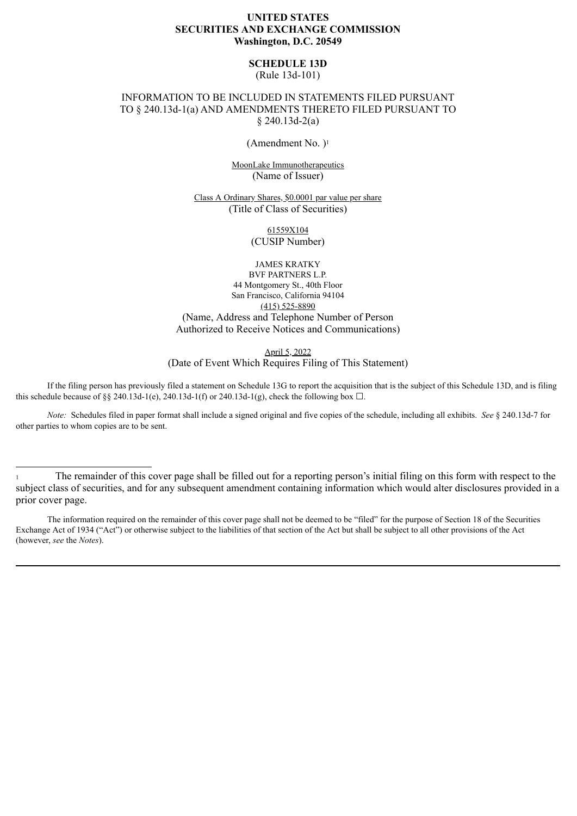# **UNITED STATES SECURITIES AND EXCHANGE COMMISSION Washington, D.C. 20549**

**SCHEDULE 13D**

(Rule 13d-101)

# INFORMATION TO BE INCLUDED IN STATEMENTS FILED PURSUANT TO § 240.13d-1(a) AND AMENDMENTS THERETO FILED PURSUANT TO § 240.13d-2(a)

(Amendment No. )<sup>1</sup>

MoonLake Immunotherapeutics (Name of Issuer)

Class A Ordinary Shares, \$0.0001 par value per share (Title of Class of Securities)

> 61559X104 (CUSIP Number)

JAMES KRATKY BVF PARTNERS L.P. 44 Montgomery St., 40th Floor San Francisco, California 94104 (415) 525-8890 (Name, Address and Telephone Number of Person Authorized to Receive Notices and Communications)

April 5, 2022

(Date of Event Which Requires Filing of This Statement)

If the filing person has previously filed a statement on Schedule 13G to report the acquisition that is the subject of this Schedule 13D, and is filing this schedule because of §§ 240.13d-1(e), 240.13d-1(f) or 240.13d-1(g), check the following box  $\Box$ .

*Note:* Schedules filed in paper format shall include a signed original and five copies of the schedule, including all exhibits. *See* § 240.13d-7 for other parties to whom copies are to be sent.

<sup>1</sup> The remainder of this cover page shall be filled out for a reporting person's initial filing on this form with respect to the subject class of securities, and for any subsequent amendment containing information which would alter disclosures provided in a prior cover page.

The information required on the remainder of this cover page shall not be deemed to be "filed" for the purpose of Section 18 of the Securities Exchange Act of 1934 ("Act") or otherwise subject to the liabilities of that section of the Act but shall be subject to all other provisions of the Act (however, *see* the *Notes*).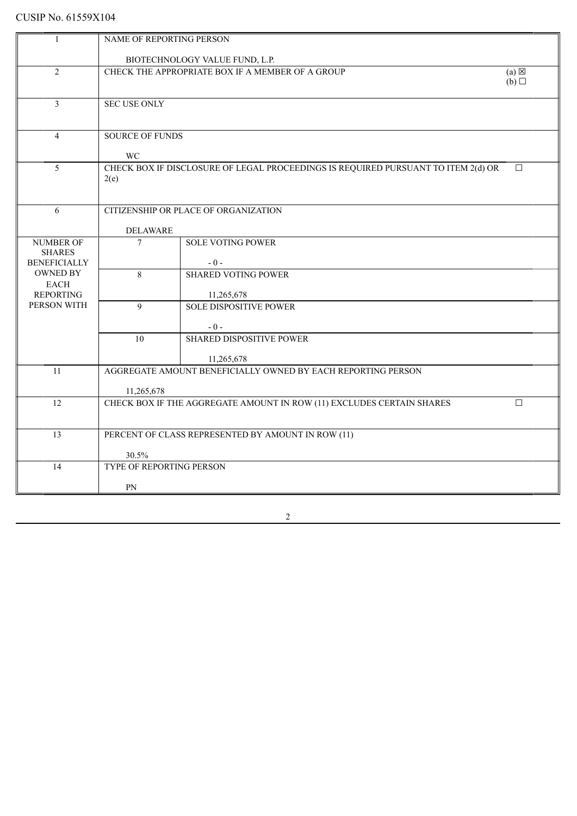| $\overline{1}$                         | NAME OF REPORTING PERSON                                |                                                                                   |                 |
|----------------------------------------|---------------------------------------------------------|-----------------------------------------------------------------------------------|-----------------|
|                                        |                                                         |                                                                                   |                 |
| $\overline{2}$                         |                                                         | BIOTECHNOLOGY VALUE FUND, L.P.                                                    | $(a) \boxtimes$ |
|                                        | CHECK THE APPROPRIATE BOX IF A MEMBER OF A GROUP<br>(b) |                                                                                   |                 |
|                                        |                                                         |                                                                                   |                 |
| $\mathfrak{Z}$                         | <b>SEC USE ONLY</b>                                     |                                                                                   |                 |
|                                        |                                                         |                                                                                   |                 |
| $\overline{4}$                         |                                                         |                                                                                   |                 |
|                                        | <b>SOURCE OF FUNDS</b>                                  |                                                                                   |                 |
|                                        | <b>WC</b>                                               |                                                                                   |                 |
| 5                                      |                                                         | CHECK BOX IF DISCLOSURE OF LEGAL PROCEEDINGS IS REQUIRED PURSUANT TO ITEM 2(d) OR | $\Box$          |
|                                        | 2(e)                                                    |                                                                                   |                 |
|                                        |                                                         |                                                                                   |                 |
| 6                                      |                                                         | CITIZENSHIP OR PLACE OF ORGANIZATION                                              |                 |
|                                        |                                                         |                                                                                   |                 |
|                                        | <b>DELAWARE</b>                                         |                                                                                   |                 |
| <b>NUMBER OF</b>                       | $\overline{7}$                                          | <b>SOLE VOTING POWER</b>                                                          |                 |
| <b>SHARES</b>                          |                                                         |                                                                                   |                 |
| <b>BENEFICIALLY</b><br><b>OWNED BY</b> | $\overline{8}$                                          | $-0-$<br><b>SHARED VOTING POWER</b>                                               |                 |
| <b>EACH</b>                            |                                                         |                                                                                   |                 |
| <b>REPORTING</b>                       |                                                         | 11,265,678                                                                        |                 |
| PERSON WITH                            | $\mathbf{Q}$                                            | <b>SOLE DISPOSITIVE POWER</b>                                                     |                 |
|                                        |                                                         |                                                                                   |                 |
|                                        |                                                         | $-0-$                                                                             |                 |
|                                        | 10                                                      | <b>SHARED DISPOSITIVE POWER</b>                                                   |                 |
|                                        |                                                         | 11,265,678                                                                        |                 |
| 11                                     |                                                         | AGGREGATE AMOUNT BENEFICIALLY OWNED BY EACH REPORTING PERSON                      |                 |
|                                        |                                                         |                                                                                   |                 |
|                                        | 11,265,678                                              |                                                                                   |                 |
| 12                                     |                                                         | CHECK BOX IF THE AGGREGATE AMOUNT IN ROW (11) EXCLUDES CERTAIN SHARES             | $\Box$          |
|                                        |                                                         |                                                                                   |                 |
| 13                                     |                                                         | PERCENT OF CLASS REPRESENTED BY AMOUNT IN ROW (11)                                |                 |
|                                        |                                                         |                                                                                   |                 |
|                                        | 30.5%                                                   |                                                                                   |                 |
| 14                                     | TYPE OF REPORTING PERSON                                |                                                                                   |                 |
|                                        | PN                                                      |                                                                                   |                 |
|                                        |                                                         |                                                                                   |                 |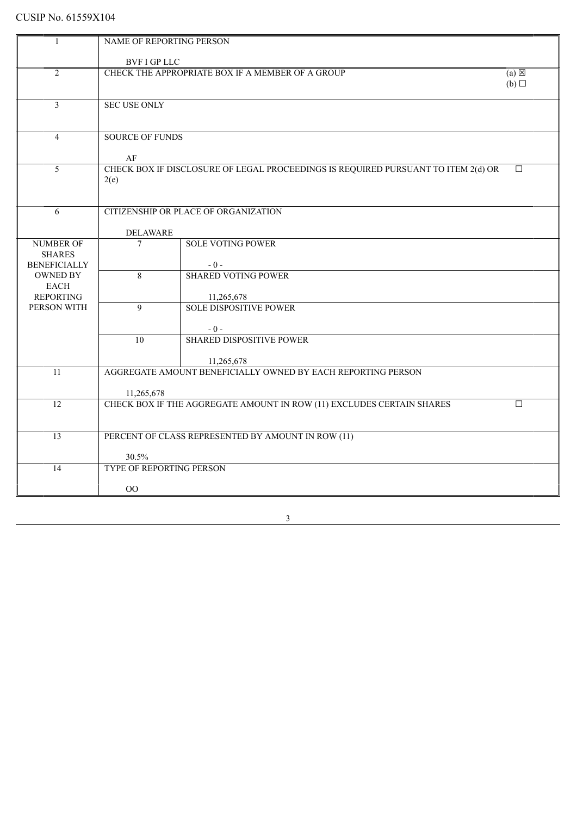|                                | NAME OF REPORTING PERSON                                            |                                                                                   |        |  |  |
|--------------------------------|---------------------------------------------------------------------|-----------------------------------------------------------------------------------|--------|--|--|
|                                | <b>BVF I GP LLC</b>                                                 |                                                                                   |        |  |  |
| 2                              | CHECK THE APPROPRIATE BOX IF A MEMBER OF A GROUP<br>$(a) \boxtimes$ |                                                                                   |        |  |  |
|                                |                                                                     |                                                                                   | (b)    |  |  |
| $\mathfrak{Z}$                 | <b>SEC USE ONLY</b>                                                 |                                                                                   |        |  |  |
|                                |                                                                     |                                                                                   |        |  |  |
|                                |                                                                     |                                                                                   |        |  |  |
| $\overline{4}$                 | <b>SOURCE OF FUNDS</b>                                              |                                                                                   |        |  |  |
|                                | $\rm AF$                                                            |                                                                                   |        |  |  |
| 5                              |                                                                     | CHECK BOX IF DISCLOSURE OF LEGAL PROCEEDINGS IS REQUIRED PURSUANT TO ITEM 2(d) OR | $\Box$ |  |  |
|                                | 2(e)                                                                |                                                                                   |        |  |  |
|                                |                                                                     |                                                                                   |        |  |  |
| 6                              |                                                                     | CITIZENSHIP OR PLACE OF ORGANIZATION                                              |        |  |  |
|                                |                                                                     |                                                                                   |        |  |  |
| <b>NUMBER OF</b>               | <b>DELAWARE</b><br>$\tau$                                           | <b>SOLE VOTING POWER</b>                                                          |        |  |  |
| <b>SHARES</b>                  |                                                                     |                                                                                   |        |  |  |
| <b>BENEFICIALLY</b>            |                                                                     | $-0-$                                                                             |        |  |  |
| <b>OWNED BY</b><br><b>EACH</b> | $\overline{8}$                                                      | <b>SHARED VOTING POWER</b>                                                        |        |  |  |
| <b>REPORTING</b>               |                                                                     | 11,265,678                                                                        |        |  |  |
| PERSON WITH                    | $\overline{9}$                                                      | <b>SOLE DISPOSITIVE POWER</b>                                                     |        |  |  |
|                                |                                                                     | $-0-$                                                                             |        |  |  |
|                                | $\overline{10}$                                                     | <b>SHARED DISPOSITIVE POWER</b>                                                   |        |  |  |
|                                |                                                                     |                                                                                   |        |  |  |
| 11                             |                                                                     | 11,265,678<br>AGGREGATE AMOUNT BENEFICIALLY OWNED BY EACH REPORTING PERSON        |        |  |  |
|                                |                                                                     |                                                                                   |        |  |  |
|                                | 11,265,678                                                          |                                                                                   |        |  |  |
| $\overline{12}$                |                                                                     | CHECK BOX IF THE AGGREGATE AMOUNT IN ROW (11) EXCLUDES CERTAIN SHARES             | $\Box$ |  |  |
|                                |                                                                     |                                                                                   |        |  |  |
| 13                             |                                                                     | PERCENT OF CLASS REPRESENTED BY AMOUNT IN ROW (11)                                |        |  |  |
|                                | 30.5%                                                               |                                                                                   |        |  |  |
| 14                             | <b>TYPE OF REPORTING PERSON</b>                                     |                                                                                   |        |  |  |
|                                |                                                                     |                                                                                   |        |  |  |
|                                | 00                                                                  |                                                                                   |        |  |  |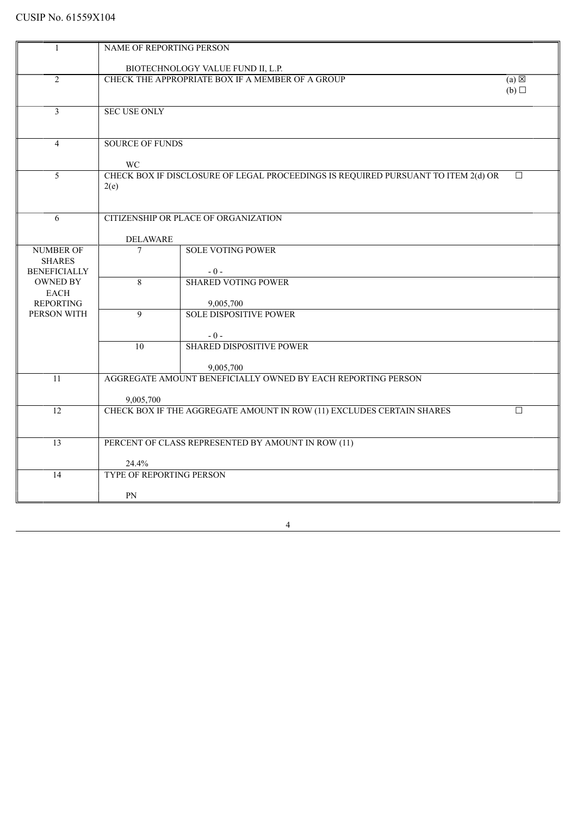|                                   | NAME OF REPORTING PERSON                                            |                                                                                   |        |  |  |
|-----------------------------------|---------------------------------------------------------------------|-----------------------------------------------------------------------------------|--------|--|--|
|                                   |                                                                     |                                                                                   |        |  |  |
|                                   |                                                                     | BIOTECHNOLOGY VALUE FUND II, L.P.                                                 |        |  |  |
| $\overline{2}$                    | CHECK THE APPROPRIATE BOX IF A MEMBER OF A GROUP<br>$(a) \boxtimes$ |                                                                                   |        |  |  |
|                                   |                                                                     |                                                                                   | (b)    |  |  |
| $\overline{3}$                    | <b>SEC USE ONLY</b>                                                 |                                                                                   |        |  |  |
|                                   |                                                                     |                                                                                   |        |  |  |
|                                   |                                                                     |                                                                                   |        |  |  |
| $\overline{4}$                    | <b>SOURCE OF FUNDS</b>                                              |                                                                                   |        |  |  |
|                                   |                                                                     |                                                                                   |        |  |  |
|                                   | <b>WC</b>                                                           |                                                                                   |        |  |  |
| 5                                 |                                                                     | CHECK BOX IF DISCLOSURE OF LEGAL PROCEEDINGS IS REQUIRED PURSUANT TO ITEM 2(d) OR | $\Box$ |  |  |
|                                   | 2(e)                                                                |                                                                                   |        |  |  |
|                                   |                                                                     |                                                                                   |        |  |  |
|                                   |                                                                     |                                                                                   |        |  |  |
| 6                                 |                                                                     | CITIZENSHIP OR PLACE OF ORGANIZATION                                              |        |  |  |
|                                   |                                                                     |                                                                                   |        |  |  |
|                                   | <b>DELAWARE</b>                                                     |                                                                                   |        |  |  |
| <b>NUMBER OF</b><br><b>SHARES</b> | $\overline{7}$                                                      | <b>SOLE VOTING POWER</b>                                                          |        |  |  |
| <b>BENEFICIALLY</b>               |                                                                     | $-0-$                                                                             |        |  |  |
| <b>OWNED BY</b>                   | 8                                                                   | <b>SHARED VOTING POWER</b>                                                        |        |  |  |
| <b>EACH</b>                       |                                                                     |                                                                                   |        |  |  |
| <b>REPORTING</b>                  |                                                                     | 9,005,700                                                                         |        |  |  |
| PERSON WITH                       | $\mathbf Q$                                                         | <b>SOLE DISPOSITIVE POWER</b>                                                     |        |  |  |
|                                   |                                                                     |                                                                                   |        |  |  |
|                                   |                                                                     | $-0-$                                                                             |        |  |  |
|                                   | $\overline{10}$                                                     | <b>SHARED DISPOSITIVE POWER</b>                                                   |        |  |  |
|                                   |                                                                     |                                                                                   |        |  |  |
|                                   |                                                                     | 9,005,700                                                                         |        |  |  |
| 11                                |                                                                     | AGGREGATE AMOUNT BENEFICIALLY OWNED BY EACH REPORTING PERSON                      |        |  |  |
|                                   |                                                                     |                                                                                   |        |  |  |
| 12                                | 9,005,700                                                           | CHECK BOX IF THE AGGREGATE AMOUNT IN ROW (11) EXCLUDES CERTAIN SHARES             | $\Box$ |  |  |
|                                   |                                                                     |                                                                                   |        |  |  |
|                                   |                                                                     |                                                                                   |        |  |  |
| 13                                |                                                                     | PERCENT OF CLASS REPRESENTED BY AMOUNT IN ROW (11)                                |        |  |  |
|                                   |                                                                     |                                                                                   |        |  |  |
|                                   | 24.4%                                                               |                                                                                   |        |  |  |
| 14                                | TYPE OF REPORTING PERSON                                            |                                                                                   |        |  |  |
|                                   |                                                                     |                                                                                   |        |  |  |
|                                   | PN                                                                  |                                                                                   |        |  |  |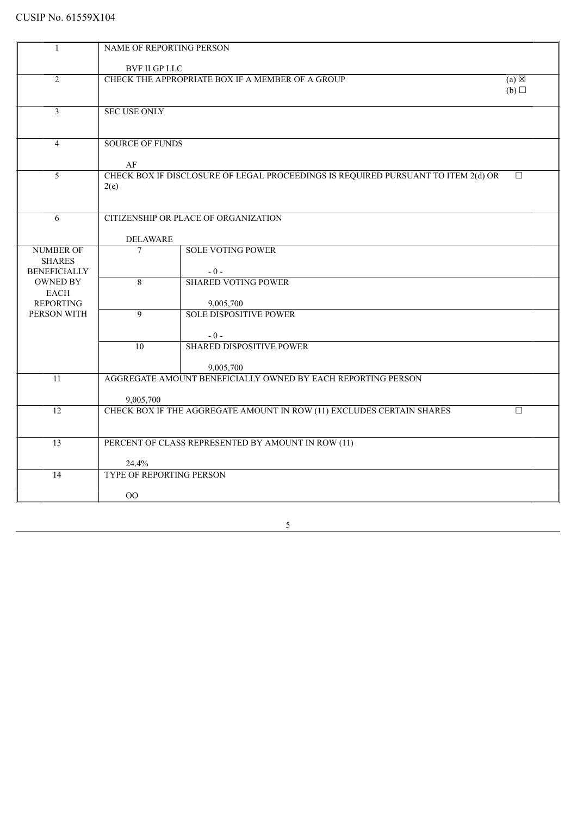| -1                                     | NAME OF REPORTING PERSON                                            |                                                                                   |        |  |
|----------------------------------------|---------------------------------------------------------------------|-----------------------------------------------------------------------------------|--------|--|
|                                        | <b>BVF II GP LLC</b>                                                |                                                                                   |        |  |
| $\overline{2}$                         | CHECK THE APPROPRIATE BOX IF A MEMBER OF A GROUP<br>$(a) \boxtimes$ |                                                                                   |        |  |
|                                        | (b)                                                                 |                                                                                   |        |  |
|                                        |                                                                     |                                                                                   |        |  |
| $\overline{3}$                         | SEC USE ONLY                                                        |                                                                                   |        |  |
|                                        |                                                                     |                                                                                   |        |  |
|                                        | <b>SOURCE OF FUNDS</b>                                              |                                                                                   |        |  |
| 4                                      |                                                                     |                                                                                   |        |  |
|                                        | $\rm AF$                                                            |                                                                                   |        |  |
| $\overline{5}$                         |                                                                     | CHECK BOX IF DISCLOSURE OF LEGAL PROCEEDINGS IS REQUIRED PURSUANT TO ITEM 2(d) OR | $\Box$ |  |
|                                        | 2(e)                                                                |                                                                                   |        |  |
|                                        |                                                                     |                                                                                   |        |  |
| 6                                      |                                                                     | CITIZENSHIP OR PLACE OF ORGANIZATION                                              |        |  |
|                                        |                                                                     |                                                                                   |        |  |
|                                        | <b>DELAWARE</b>                                                     |                                                                                   |        |  |
| <b>NUMBER OF</b>                       | $\overline{7}$                                                      | <b>SOLE VOTING POWER</b>                                                          |        |  |
| <b>SHARES</b>                          |                                                                     |                                                                                   |        |  |
| <b>BENEFICIALLY</b><br><b>OWNED BY</b> |                                                                     | $-0-$<br><b>SHARED VOTING POWER</b>                                               |        |  |
| <b>EACH</b>                            | 8                                                                   |                                                                                   |        |  |
| <b>REPORTING</b>                       |                                                                     | 9,005,700                                                                         |        |  |
| PERSON WITH                            | $\overline{9}$                                                      | <b>SOLE DISPOSITIVE POWER</b>                                                     |        |  |
|                                        |                                                                     |                                                                                   |        |  |
|                                        |                                                                     | $-0-$                                                                             |        |  |
|                                        | 10                                                                  | <b>SHARED DISPOSITIVE POWER</b>                                                   |        |  |
|                                        |                                                                     | 9,005,700                                                                         |        |  |
| 11                                     |                                                                     | AGGREGATE AMOUNT BENEFICIALLY OWNED BY EACH REPORTING PERSON                      |        |  |
|                                        |                                                                     |                                                                                   |        |  |
|                                        | 9,005,700                                                           |                                                                                   |        |  |
| $\overline{12}$                        |                                                                     | CHECK BOX IF THE AGGREGATE AMOUNT IN ROW (11) EXCLUDES CERTAIN SHARES             | $\Box$ |  |
|                                        |                                                                     |                                                                                   |        |  |
| 13                                     |                                                                     | PERCENT OF CLASS REPRESENTED BY AMOUNT IN ROW (11)                                |        |  |
|                                        |                                                                     |                                                                                   |        |  |
|                                        | 24.4%                                                               |                                                                                   |        |  |
| 14                                     | TYPE OF REPORTING PERSON                                            |                                                                                   |        |  |
|                                        | O <sub>O</sub>                                                      |                                                                                   |        |  |
|                                        |                                                                     |                                                                                   |        |  |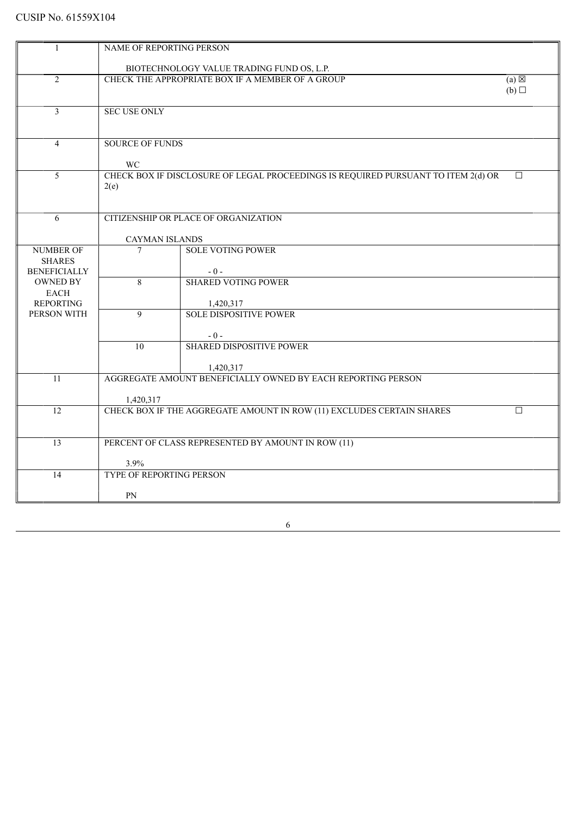| 1                                 | NAME OF REPORTING PERSON                  |                                                                                   |        |  |  |
|-----------------------------------|-------------------------------------------|-----------------------------------------------------------------------------------|--------|--|--|
|                                   | BIOTECHNOLOGY VALUE TRADING FUND OS, L.P. |                                                                                   |        |  |  |
| $\overline{2}$                    |                                           | CHECK THE APPROPRIATE BOX IF A MEMBER OF A GROUP<br>$(a) \boxtimes$               |        |  |  |
|                                   | (b)                                       |                                                                                   |        |  |  |
|                                   |                                           |                                                                                   |        |  |  |
| $\overline{3}$                    | <b>SEC USE ONLY</b>                       |                                                                                   |        |  |  |
|                                   |                                           |                                                                                   |        |  |  |
| $\overline{4}$                    | <b>SOURCE OF FUNDS</b>                    |                                                                                   |        |  |  |
|                                   |                                           |                                                                                   |        |  |  |
|                                   | WC                                        |                                                                                   |        |  |  |
| 5                                 |                                           | CHECK BOX IF DISCLOSURE OF LEGAL PROCEEDINGS IS REQUIRED PURSUANT TO ITEM 2(d) OR | $\Box$ |  |  |
|                                   | 2(e)                                      |                                                                                   |        |  |  |
|                                   |                                           |                                                                                   |        |  |  |
| 6                                 |                                           | CITIZENSHIP OR PLACE OF ORGANIZATION                                              |        |  |  |
|                                   |                                           |                                                                                   |        |  |  |
|                                   | <b>CAYMAN ISLANDS</b>                     |                                                                                   |        |  |  |
| <b>NUMBER OF</b><br><b>SHARES</b> | $\tau$                                    | <b>SOLE VOTING POWER</b>                                                          |        |  |  |
| <b>BENEFICIALLY</b>               |                                           | $-0-$                                                                             |        |  |  |
| <b>OWNED BY</b>                   | 8                                         | <b>SHARED VOTING POWER</b>                                                        |        |  |  |
| <b>EACH</b>                       |                                           |                                                                                   |        |  |  |
| <b>REPORTING</b>                  |                                           | 1,420,317                                                                         |        |  |  |
| PERSON WITH                       | $\overline{9}$                            | <b>SOLE DISPOSITIVE POWER</b>                                                     |        |  |  |
|                                   |                                           | $-0-$                                                                             |        |  |  |
|                                   | $\overline{10}$                           | <b>SHARED DISPOSITIVE POWER</b>                                                   |        |  |  |
|                                   |                                           |                                                                                   |        |  |  |
|                                   |                                           | 1,420,317                                                                         |        |  |  |
| 11                                |                                           | AGGREGATE AMOUNT BENEFICIALLY OWNED BY EACH REPORTING PERSON                      |        |  |  |
|                                   | 1,420,317                                 |                                                                                   |        |  |  |
| $\overline{12}$                   |                                           | CHECK BOX IF THE AGGREGATE AMOUNT IN ROW (11) EXCLUDES CERTAIN SHARES             | $\Box$ |  |  |
|                                   |                                           |                                                                                   |        |  |  |
| 13                                |                                           |                                                                                   |        |  |  |
|                                   |                                           | PERCENT OF CLASS REPRESENTED BY AMOUNT IN ROW (11)                                |        |  |  |
|                                   | 3.9%                                      |                                                                                   |        |  |  |
| 14                                | <b>TYPE OF REPORTING PERSON</b>           |                                                                                   |        |  |  |
|                                   |                                           |                                                                                   |        |  |  |
|                                   | <b>PN</b>                                 |                                                                                   |        |  |  |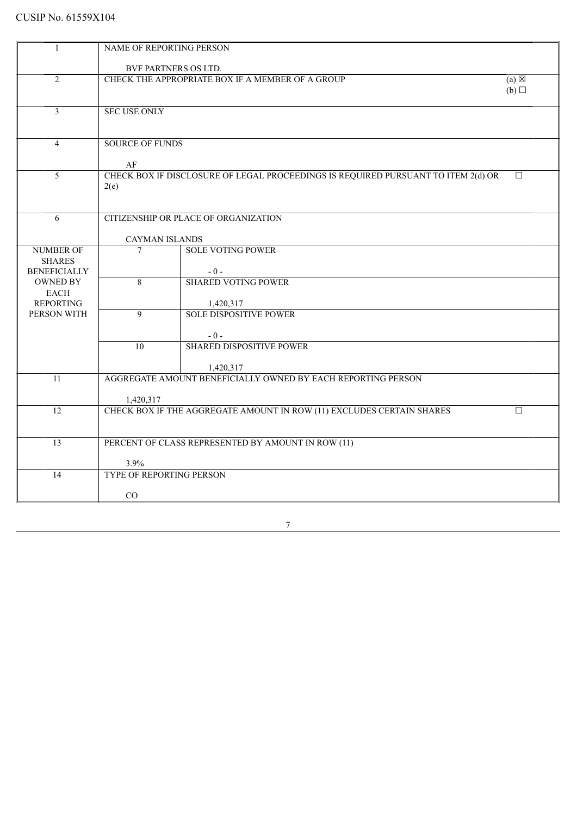| 1                               | NAME OF REPORTING PERSON                                            |                                                                                   |        |  |  |
|---------------------------------|---------------------------------------------------------------------|-----------------------------------------------------------------------------------|--------|--|--|
|                                 |                                                                     |                                                                                   |        |  |  |
|                                 |                                                                     | BVF PARTNERS OS LTD.                                                              |        |  |  |
| $\overline{2}$                  | CHECK THE APPROPRIATE BOX IF A MEMBER OF A GROUP<br>$(a) \boxtimes$ |                                                                                   |        |  |  |
|                                 | (b)                                                                 |                                                                                   |        |  |  |
|                                 |                                                                     |                                                                                   |        |  |  |
| 3                               | <b>SEC USE ONLY</b>                                                 |                                                                                   |        |  |  |
|                                 |                                                                     |                                                                                   |        |  |  |
|                                 |                                                                     |                                                                                   |        |  |  |
| $\overline{4}$                  | <b>SOURCE OF FUNDS</b>                                              |                                                                                   |        |  |  |
|                                 |                                                                     |                                                                                   |        |  |  |
|                                 | AF                                                                  |                                                                                   |        |  |  |
| 5                               |                                                                     | CHECK BOX IF DISCLOSURE OF LEGAL PROCEEDINGS IS REQUIRED PURSUANT TO ITEM 2(d) OR | $\Box$ |  |  |
|                                 | 2(e)                                                                |                                                                                   |        |  |  |
|                                 |                                                                     |                                                                                   |        |  |  |
| 6                               |                                                                     | CITIZENSHIP OR PLACE OF ORGANIZATION                                              |        |  |  |
|                                 |                                                                     |                                                                                   |        |  |  |
|                                 | <b>CAYMAN ISLANDS</b>                                               |                                                                                   |        |  |  |
| <b>NUMBER OF</b>                | $\overline{7}$                                                      | <b>SOLE VOTING POWER</b>                                                          |        |  |  |
| <b>SHARES</b>                   |                                                                     |                                                                                   |        |  |  |
| <b>BENEFICIALLY</b>             |                                                                     | $-0-$                                                                             |        |  |  |
| <b>OWNED BY</b>                 | 8                                                                   | <b>SHARED VOTING POWER</b>                                                        |        |  |  |
| <b>EACH</b>                     |                                                                     |                                                                                   |        |  |  |
| <b>REPORTING</b><br>PERSON WITH | $\overline{9}$                                                      | 1,420,317<br><b>SOLE DISPOSITIVE POWER</b>                                        |        |  |  |
|                                 |                                                                     |                                                                                   |        |  |  |
|                                 |                                                                     | $-0-$                                                                             |        |  |  |
|                                 | $\overline{10}$                                                     | <b>SHARED DISPOSITIVE POWER</b>                                                   |        |  |  |
|                                 |                                                                     |                                                                                   |        |  |  |
|                                 |                                                                     | 1,420,317                                                                         |        |  |  |
| 11                              |                                                                     | AGGREGATE AMOUNT BENEFICIALLY OWNED BY EACH REPORTING PERSON                      |        |  |  |
|                                 |                                                                     |                                                                                   |        |  |  |
|                                 | 1,420,317                                                           |                                                                                   |        |  |  |
| $\overline{12}$                 |                                                                     | CHECK BOX IF THE AGGREGATE AMOUNT IN ROW (11) EXCLUDES CERTAIN SHARES             | $\Box$ |  |  |
|                                 |                                                                     |                                                                                   |        |  |  |
| 13                              |                                                                     | PERCENT OF CLASS REPRESENTED BY AMOUNT IN ROW (11)                                |        |  |  |
|                                 |                                                                     |                                                                                   |        |  |  |
|                                 | 3.9%                                                                |                                                                                   |        |  |  |
| 14                              | <b>TYPE OF REPORTING PERSON</b>                                     |                                                                                   |        |  |  |
|                                 |                                                                     |                                                                                   |        |  |  |
|                                 | CO                                                                  |                                                                                   |        |  |  |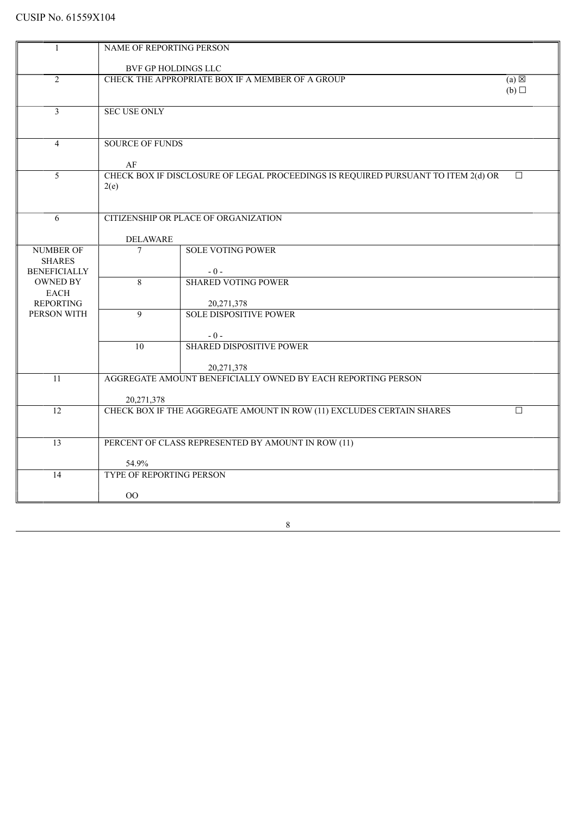| 1                                    | NAME OF REPORTING PERSON                                            |                                                                                   |        |  |  |  |
|--------------------------------------|---------------------------------------------------------------------|-----------------------------------------------------------------------------------|--------|--|--|--|
|                                      |                                                                     |                                                                                   |        |  |  |  |
|                                      |                                                                     | BVF GP HOLDINGS LLC                                                               |        |  |  |  |
| $\overline{2}$                       | CHECK THE APPROPRIATE BOX IF A MEMBER OF A GROUP<br>$(a) \boxtimes$ |                                                                                   |        |  |  |  |
|                                      | (b)                                                                 |                                                                                   |        |  |  |  |
|                                      |                                                                     |                                                                                   |        |  |  |  |
| 3                                    | <b>SEC USE ONLY</b>                                                 |                                                                                   |        |  |  |  |
|                                      |                                                                     |                                                                                   |        |  |  |  |
|                                      |                                                                     |                                                                                   |        |  |  |  |
| $\overline{4}$                       | <b>SOURCE OF FUNDS</b>                                              |                                                                                   |        |  |  |  |
|                                      |                                                                     |                                                                                   |        |  |  |  |
| 5                                    | AF                                                                  | CHECK BOX IF DISCLOSURE OF LEGAL PROCEEDINGS IS REQUIRED PURSUANT TO ITEM 2(d) OR |        |  |  |  |
|                                      | 2(e)                                                                |                                                                                   | $\Box$ |  |  |  |
|                                      |                                                                     |                                                                                   |        |  |  |  |
|                                      |                                                                     |                                                                                   |        |  |  |  |
| 6                                    |                                                                     | CITIZENSHIP OR PLACE OF ORGANIZATION                                              |        |  |  |  |
|                                      |                                                                     |                                                                                   |        |  |  |  |
|                                      | <b>DELAWARE</b>                                                     |                                                                                   |        |  |  |  |
| <b>NUMBER OF</b>                     | $\overline{7}$                                                      | <b>SOLE VOTING POWER</b>                                                          |        |  |  |  |
| <b>SHARES</b><br><b>BENEFICIALLY</b> |                                                                     |                                                                                   |        |  |  |  |
| <b>OWNED BY</b>                      | 8                                                                   | $-0-$<br><b>SHARED VOTING POWER</b>                                               |        |  |  |  |
| <b>EACH</b>                          |                                                                     |                                                                                   |        |  |  |  |
| <b>REPORTING</b>                     |                                                                     | 20,271,378                                                                        |        |  |  |  |
| PERSON WITH                          | $\overline{9}$                                                      | <b>SOLE DISPOSITIVE POWER</b>                                                     |        |  |  |  |
|                                      |                                                                     |                                                                                   |        |  |  |  |
|                                      |                                                                     | $-0-$                                                                             |        |  |  |  |
|                                      | $\overline{10}$                                                     | <b>SHARED DISPOSITIVE POWER</b>                                                   |        |  |  |  |
|                                      |                                                                     |                                                                                   |        |  |  |  |
| 11                                   |                                                                     | 20,271,378<br>AGGREGATE AMOUNT BENEFICIALLY OWNED BY EACH REPORTING PERSON        |        |  |  |  |
|                                      |                                                                     |                                                                                   |        |  |  |  |
|                                      | 20,271,378                                                          |                                                                                   |        |  |  |  |
| $\overline{12}$                      |                                                                     | CHECK BOX IF THE AGGREGATE AMOUNT IN ROW (11) EXCLUDES CERTAIN SHARES             | $\Box$ |  |  |  |
|                                      |                                                                     |                                                                                   |        |  |  |  |
| $\overline{13}$                      |                                                                     |                                                                                   |        |  |  |  |
|                                      |                                                                     | PERCENT OF CLASS REPRESENTED BY AMOUNT IN ROW (11)                                |        |  |  |  |
|                                      | 54.9%                                                               |                                                                                   |        |  |  |  |
| 14                                   | <b>TYPE OF REPORTING PERSON</b>                                     |                                                                                   |        |  |  |  |
|                                      |                                                                     |                                                                                   |        |  |  |  |
|                                      | $\overline{O}O$                                                     |                                                                                   |        |  |  |  |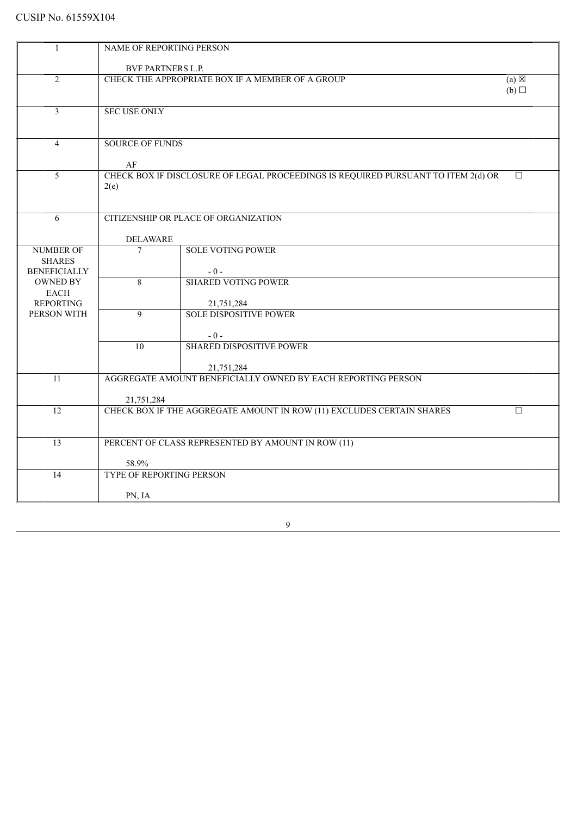| 1                                 | NAME OF REPORTING PERSON                                            |                                                                                   |        |  |  |
|-----------------------------------|---------------------------------------------------------------------|-----------------------------------------------------------------------------------|--------|--|--|
|                                   | <b>BVF PARTNERS L.P.</b>                                            |                                                                                   |        |  |  |
| $\overline{2}$                    | CHECK THE APPROPRIATE BOX IF A MEMBER OF A GROUP<br>$(a) \boxtimes$ |                                                                                   |        |  |  |
|                                   |                                                                     |                                                                                   | (b)    |  |  |
| $\overline{3}$                    | <b>SEC USE ONLY</b>                                                 |                                                                                   |        |  |  |
|                                   |                                                                     |                                                                                   |        |  |  |
| $\overline{4}$                    | <b>SOURCE OF FUNDS</b>                                              |                                                                                   |        |  |  |
|                                   |                                                                     |                                                                                   |        |  |  |
| 5                                 | AF                                                                  | CHECK BOX IF DISCLOSURE OF LEGAL PROCEEDINGS IS REQUIRED PURSUANT TO ITEM 2(d) OR | $\Box$ |  |  |
|                                   | 2(e)                                                                |                                                                                   |        |  |  |
|                                   |                                                                     |                                                                                   |        |  |  |
| 6                                 |                                                                     | CITIZENSHIP OR PLACE OF ORGANIZATION                                              |        |  |  |
|                                   |                                                                     |                                                                                   |        |  |  |
|                                   | <b>DELAWARE</b>                                                     | <b>SOLE VOTING POWER</b>                                                          |        |  |  |
| <b>NUMBER OF</b><br><b>SHARES</b> | $\overline{7}$                                                      |                                                                                   |        |  |  |
| <b>BENEFICIALLY</b>               |                                                                     | $-0-$                                                                             |        |  |  |
| <b>OWNED BY</b>                   | 8                                                                   | <b>SHARED VOTING POWER</b>                                                        |        |  |  |
| <b>EACH</b>                       |                                                                     |                                                                                   |        |  |  |
| <b>REPORTING</b><br>PERSON WITH   | 9                                                                   | 21,751,284<br><b>SOLE DISPOSITIVE POWER</b>                                       |        |  |  |
|                                   |                                                                     |                                                                                   |        |  |  |
|                                   |                                                                     | $-0-$                                                                             |        |  |  |
|                                   | 10                                                                  | <b>SHARED DISPOSITIVE POWER</b>                                                   |        |  |  |
|                                   |                                                                     | 21,751,284                                                                        |        |  |  |
| 11                                |                                                                     | AGGREGATE AMOUNT BENEFICIALLY OWNED BY EACH REPORTING PERSON                      |        |  |  |
|                                   |                                                                     |                                                                                   |        |  |  |
|                                   | 21,751,284                                                          |                                                                                   |        |  |  |
| $\overline{12}$                   |                                                                     | CHECK BOX IF THE AGGREGATE AMOUNT IN ROW (11) EXCLUDES CERTAIN SHARES             | $\Box$ |  |  |
|                                   |                                                                     |                                                                                   |        |  |  |
| $\overline{13}$                   |                                                                     | PERCENT OF CLASS REPRESENTED BY AMOUNT IN ROW (11)                                |        |  |  |
|                                   | 58.9%                                                               |                                                                                   |        |  |  |
| 14                                | <b>TYPE OF REPORTING PERSON</b>                                     |                                                                                   |        |  |  |
|                                   |                                                                     |                                                                                   |        |  |  |
|                                   | PN, IA                                                              |                                                                                   |        |  |  |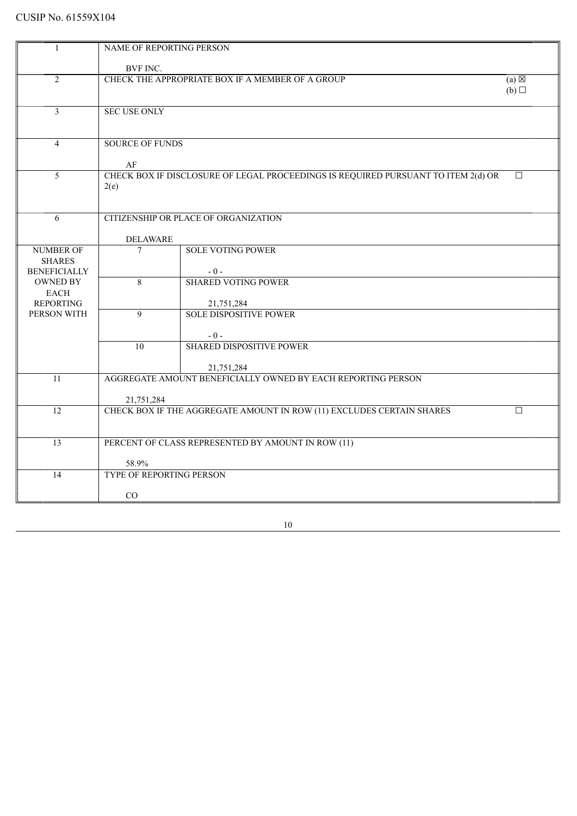| NAME OF REPORTING PERSON                                                               |                     |  |  |  |
|----------------------------------------------------------------------------------------|---------------------|--|--|--|
|                                                                                        |                     |  |  |  |
| BVF INC.                                                                               |                     |  |  |  |
| CHECK THE APPROPRIATE BOX IF A MEMBER OF A GROUP<br>$\overline{2}$                     | $(a) \boxtimes$     |  |  |  |
|                                                                                        | (b)                 |  |  |  |
| $\overline{3}$                                                                         | <b>SEC USE ONLY</b> |  |  |  |
|                                                                                        |                     |  |  |  |
|                                                                                        |                     |  |  |  |
| <b>SOURCE OF FUNDS</b><br>$\overline{4}$                                               |                     |  |  |  |
|                                                                                        |                     |  |  |  |
| AF                                                                                     |                     |  |  |  |
| CHECK BOX IF DISCLOSURE OF LEGAL PROCEEDINGS IS REQUIRED PURSUANT TO ITEM 2(d) OR<br>5 | $\Box$              |  |  |  |
| 2(e)                                                                                   |                     |  |  |  |
|                                                                                        |                     |  |  |  |
| CITIZENSHIP OR PLACE OF ORGANIZATION<br>6                                              |                     |  |  |  |
|                                                                                        |                     |  |  |  |
| <b>DELAWARE</b>                                                                        |                     |  |  |  |
| <b>NUMBER OF</b><br><b>SOLE VOTING POWER</b><br>$\overline{7}$                         |                     |  |  |  |
| <b>SHARES</b>                                                                          |                     |  |  |  |
| <b>BENEFICIALLY</b><br>$-0-$                                                           |                     |  |  |  |
| <b>OWNED BY</b><br><b>SHARED VOTING POWER</b><br>8                                     |                     |  |  |  |
| <b>EACH</b>                                                                            |                     |  |  |  |
| <b>REPORTING</b><br>21,751,284                                                         |                     |  |  |  |
| <b>SOLE DISPOSITIVE POWER</b><br>PERSON WITH<br>9                                      |                     |  |  |  |
|                                                                                        |                     |  |  |  |
| $-0-$<br><b>SHARED DISPOSITIVE POWER</b><br>$\overline{10}$                            |                     |  |  |  |
|                                                                                        |                     |  |  |  |
| 21,751,284                                                                             |                     |  |  |  |
| AGGREGATE AMOUNT BENEFICIALLY OWNED BY EACH REPORTING PERSON<br>11                     |                     |  |  |  |
|                                                                                        |                     |  |  |  |
| 21,751,284                                                                             |                     |  |  |  |
| 12<br>CHECK BOX IF THE AGGREGATE AMOUNT IN ROW (11) EXCLUDES CERTAIN SHARES            | $\Box$              |  |  |  |
|                                                                                        |                     |  |  |  |
|                                                                                        |                     |  |  |  |
| PERCENT OF CLASS REPRESENTED BY AMOUNT IN ROW (11)<br>13                               |                     |  |  |  |
| 58.9%                                                                                  |                     |  |  |  |
| TYPE OF REPORTING PERSON<br>14                                                         |                     |  |  |  |
|                                                                                        |                     |  |  |  |
| CO                                                                                     |                     |  |  |  |
|                                                                                        |                     |  |  |  |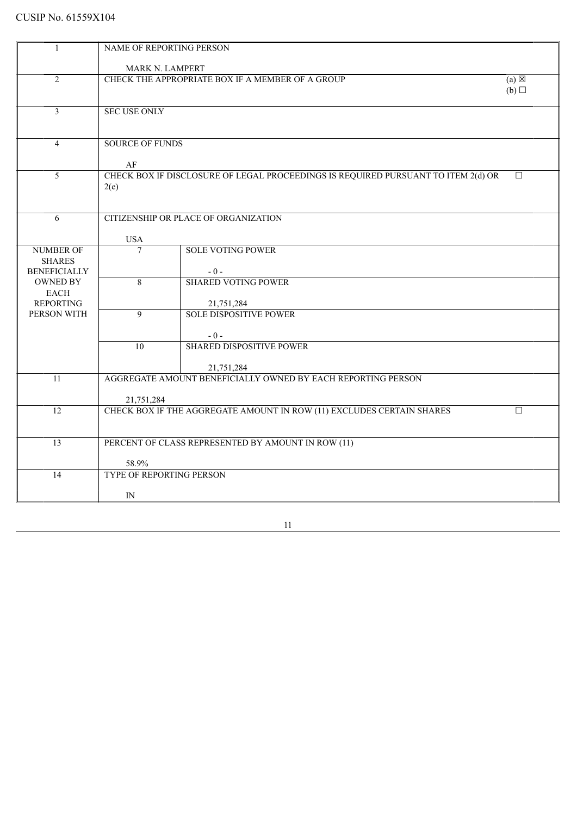|                                      | NAME OF REPORTING PERSON                                            |                                                                                   |        |  |
|--------------------------------------|---------------------------------------------------------------------|-----------------------------------------------------------------------------------|--------|--|
|                                      |                                                                     |                                                                                   |        |  |
|                                      | MARK N. LAMPERT                                                     |                                                                                   |        |  |
| $\overline{2}$                       | CHECK THE APPROPRIATE BOX IF A MEMBER OF A GROUP<br>$(a) \boxtimes$ |                                                                                   |        |  |
|                                      |                                                                     |                                                                                   | (b)    |  |
| $\overline{3}$                       | <b>SEC USE ONLY</b>                                                 |                                                                                   |        |  |
|                                      |                                                                     |                                                                                   |        |  |
|                                      |                                                                     |                                                                                   |        |  |
| $\overline{4}$                       | <b>SOURCE OF FUNDS</b>                                              |                                                                                   |        |  |
|                                      |                                                                     |                                                                                   |        |  |
|                                      | AF                                                                  |                                                                                   |        |  |
| 5                                    |                                                                     | CHECK BOX IF DISCLOSURE OF LEGAL PROCEEDINGS IS REQUIRED PURSUANT TO ITEM 2(d) OR | $\Box$ |  |
|                                      | 2(e)                                                                |                                                                                   |        |  |
|                                      |                                                                     |                                                                                   |        |  |
|                                      |                                                                     |                                                                                   |        |  |
| 6                                    |                                                                     | CITIZENSHIP OR PLACE OF ORGANIZATION                                              |        |  |
|                                      |                                                                     |                                                                                   |        |  |
|                                      | <b>USA</b>                                                          |                                                                                   |        |  |
| <b>NUMBER OF</b>                     | $\overline{7}$                                                      | <b>SOLE VOTING POWER</b>                                                          |        |  |
| <b>SHARES</b><br><b>BENEFICIALLY</b> |                                                                     | $-0-$                                                                             |        |  |
| <b>OWNED BY</b>                      | 8                                                                   | <b>SHARED VOTING POWER</b>                                                        |        |  |
| <b>EACH</b>                          |                                                                     |                                                                                   |        |  |
| <b>REPORTING</b>                     |                                                                     | 21,751,284                                                                        |        |  |
| PERSON WITH                          | 9                                                                   | <b>SOLE DISPOSITIVE POWER</b>                                                     |        |  |
|                                      |                                                                     |                                                                                   |        |  |
|                                      |                                                                     | $-0-$                                                                             |        |  |
|                                      | $\overline{10}$                                                     | <b>SHARED DISPOSITIVE POWER</b>                                                   |        |  |
|                                      |                                                                     |                                                                                   |        |  |
|                                      |                                                                     | 21,751,284                                                                        |        |  |
| 11                                   |                                                                     | AGGREGATE AMOUNT BENEFICIALLY OWNED BY EACH REPORTING PERSON                      |        |  |
|                                      |                                                                     |                                                                                   |        |  |
| 12                                   | 21,751,284                                                          |                                                                                   | $\Box$ |  |
|                                      |                                                                     | CHECK BOX IF THE AGGREGATE AMOUNT IN ROW (11) EXCLUDES CERTAIN SHARES             |        |  |
|                                      |                                                                     |                                                                                   |        |  |
| 13                                   |                                                                     | PERCENT OF CLASS REPRESENTED BY AMOUNT IN ROW (11)                                |        |  |
|                                      |                                                                     |                                                                                   |        |  |
|                                      | 58.9%                                                               |                                                                                   |        |  |
| 14                                   | TYPE OF REPORTING PERSON                                            |                                                                                   |        |  |
|                                      |                                                                     |                                                                                   |        |  |
|                                      | IN                                                                  |                                                                                   |        |  |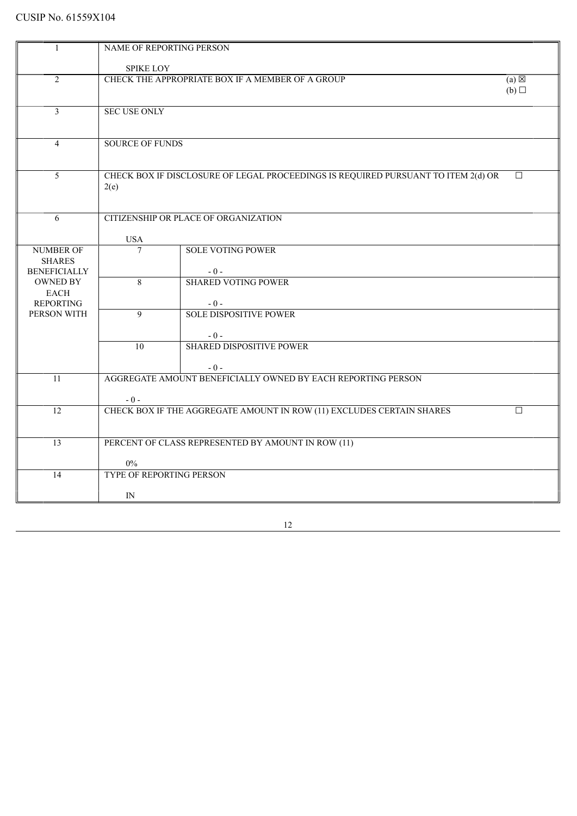|                     | NAME OF REPORTING PERSON                                            |                                                                                   |                 |  |
|---------------------|---------------------------------------------------------------------|-----------------------------------------------------------------------------------|-----------------|--|
|                     |                                                                     |                                                                                   |                 |  |
|                     | <b>SPIKE LOY</b>                                                    |                                                                                   |                 |  |
| $\overline{2}$      | CHECK THE APPROPRIATE BOX IF A MEMBER OF A GROUP<br>$(a) \boxtimes$ |                                                                                   |                 |  |
|                     |                                                                     |                                                                                   | $(b)$ $\square$ |  |
| $\overline{3}$      | <b>SEC USE ONLY</b>                                                 |                                                                                   |                 |  |
|                     |                                                                     |                                                                                   |                 |  |
|                     |                                                                     |                                                                                   |                 |  |
| $\overline{4}$      | <b>SOURCE OF FUNDS</b>                                              |                                                                                   |                 |  |
|                     |                                                                     |                                                                                   |                 |  |
|                     |                                                                     |                                                                                   |                 |  |
| 5                   |                                                                     | CHECK BOX IF DISCLOSURE OF LEGAL PROCEEDINGS IS REQUIRED PURSUANT TO ITEM 2(d) OR | $\Box$          |  |
|                     | 2(e)                                                                |                                                                                   |                 |  |
|                     |                                                                     |                                                                                   |                 |  |
| 6                   |                                                                     | CITIZENSHIP OR PLACE OF ORGANIZATION                                              |                 |  |
|                     |                                                                     |                                                                                   |                 |  |
|                     | <b>USA</b>                                                          |                                                                                   |                 |  |
| <b>NUMBER OF</b>    | $\overline{7}$                                                      | <b>SOLE VOTING POWER</b>                                                          |                 |  |
| <b>SHARES</b>       |                                                                     |                                                                                   |                 |  |
| <b>BENEFICIALLY</b> |                                                                     | $-0-$                                                                             |                 |  |
| <b>OWNED BY</b>     | 8                                                                   | <b>SHARED VOTING POWER</b>                                                        |                 |  |
| <b>EACH</b>         |                                                                     |                                                                                   |                 |  |
| <b>REPORTING</b>    |                                                                     | $-0-$                                                                             |                 |  |
| PERSON WITH         | $\overline{9}$                                                      | <b>SOLE DISPOSITIVE POWER</b>                                                     |                 |  |
|                     |                                                                     | $-0-$                                                                             |                 |  |
|                     | $\overline{10}$                                                     | <b>SHARED DISPOSITIVE POWER</b>                                                   |                 |  |
|                     |                                                                     |                                                                                   |                 |  |
|                     |                                                                     | $-0-$                                                                             |                 |  |
| 11                  |                                                                     | AGGREGATE AMOUNT BENEFICIALLY OWNED BY EACH REPORTING PERSON                      |                 |  |
|                     |                                                                     |                                                                                   |                 |  |
|                     | $-0-$                                                               |                                                                                   |                 |  |
| $\overline{12}$     |                                                                     | CHECK BOX IF THE AGGREGATE AMOUNT IN ROW (11) EXCLUDES CERTAIN SHARES             | $\Box$          |  |
|                     |                                                                     |                                                                                   |                 |  |
| $\overline{13}$     |                                                                     | PERCENT OF CLASS REPRESENTED BY AMOUNT IN ROW (11)                                |                 |  |
|                     |                                                                     |                                                                                   |                 |  |
|                     | $0\%$                                                               |                                                                                   |                 |  |
| 14                  | <b>TYPE OF REPORTING PERSON</b>                                     |                                                                                   |                 |  |
|                     |                                                                     |                                                                                   |                 |  |
|                     | IN                                                                  |                                                                                   |                 |  |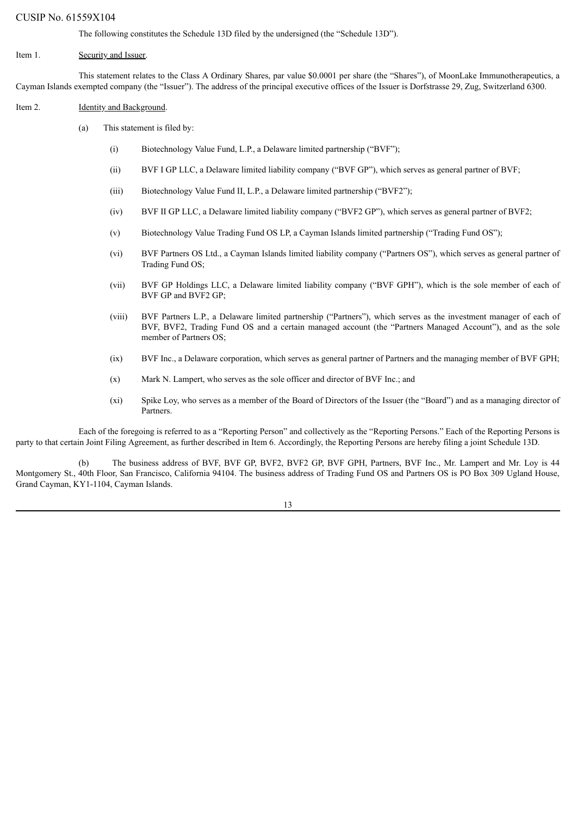The following constitutes the Schedule 13D filed by the undersigned (the "Schedule 13D").

### Item 1. Security and Issuer.

This statement relates to the Class A Ordinary Shares, par value \$0.0001 per share (the "Shares"), of MoonLake Immunotherapeutics, a Cayman Islands exempted company (the "Issuer"). The address of the principal executive offices of the Issuer is Dorfstrasse 29, Zug, Switzerland 6300.

#### Item 2. **Identity and Background.**

- (a) This statement is filed by:
	- (i) Biotechnology Value Fund, L.P., a Delaware limited partnership ("BVF");
	- (ii) BVF I GP LLC, a Delaware limited liability company ("BVF GP"), which serves as general partner of BVF;
	- (iii) Biotechnology Value Fund II, L.P., a Delaware limited partnership ("BVF2");
	- (iv) BVF II GP LLC, a Delaware limited liability company ("BVF2 GP"), which serves as general partner of BVF2;
	- (v) Biotechnology Value Trading Fund OS LP, a Cayman Islands limited partnership ("Trading Fund OS");
	- (vi) BVF Partners OS Ltd., a Cayman Islands limited liability company ("Partners OS"), which serves as general partner of Trading Fund OS;
	- (vii) BVF GP Holdings LLC, a Delaware limited liability company ("BVF GPH"), which is the sole member of each of BVF GP and BVF2 GP;
	- (viii) BVF Partners L.P., a Delaware limited partnership ("Partners"), which serves as the investment manager of each of BVF, BVF2, Trading Fund OS and a certain managed account (the "Partners Managed Account"), and as the sole member of Partners OS;
	- (ix) BVF Inc., a Delaware corporation, which serves as general partner of Partners and the managing member of BVF GPH;
	- (x) Mark N. Lampert, who serves as the sole officer and director of BVF Inc.; and
	- (xi) Spike Loy, who serves as a member of the Board of Directors of the Issuer (the "Board") and as a managing director of Partners.

Each of the foregoing is referred to as a "Reporting Person" and collectively as the "Reporting Persons." Each of the Reporting Persons is party to that certain Joint Filing Agreement, as further described in Item 6. Accordingly, the Reporting Persons are hereby filing a joint Schedule 13D.

(b) The business address of BVF, BVF GP, BVF2, BVF2 GP, BVF GPH, Partners, BVF Inc., Mr. Lampert and Mr. Loy is 44 Montgomery St., 40th Floor, San Francisco, California 94104. The business address of Trading Fund OS and Partners OS is PO Box 309 Ugland House, Grand Cayman, KY1-1104, Cayman Islands.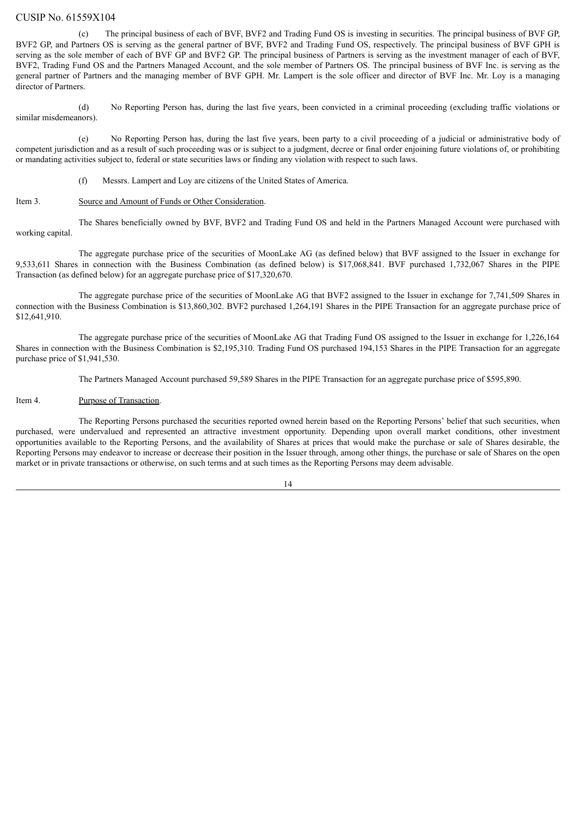(c) The principal business of each of BVF, BVF2 and Trading Fund OS is investing in securities. The principal business of BVF GP, BVF2 GP, and Partners OS is serving as the general partner of BVF, BVF2 and Trading Fund OS, respectively. The principal business of BVF GPH is serving as the sole member of each of BVF GP and BVF2 GP. The principal business of Partners is serving as the investment manager of each of BVF, BVF2, Trading Fund OS and the Partners Managed Account, and the sole member of Partners OS. The principal business of BVF Inc. is serving as the general partner of Partners and the managing member of BVF GPH. Mr. Lampert is the sole officer and director of BVF Inc. Mr. Loy is a managing director of Partners.

(d) No Reporting Person has, during the last five years, been convicted in a criminal proceeding (excluding traffic violations or similar misdemeanors).

(e) No Reporting Person has, during the last five years, been party to a civil proceeding of a judicial or administrative body of competent jurisdiction and as a result of such proceeding was or is subject to a judgment, decree or final order enjoining future violations of, or prohibiting or mandating activities subject to, federal or state securities laws or finding any violation with respect to such laws.

(f) Messrs. Lampert and Loy are citizens of the United States of America.

### Item 3. Source and Amount of Funds or Other Consideration.

The Shares beneficially owned by BVF, BVF2 and Trading Fund OS and held in the Partners Managed Account were purchased with working capital.

The aggregate purchase price of the securities of MoonLake AG (as defined below) that BVF assigned to the Issuer in exchange for 9,533,611 Shares in connection with the Business Combination (as defined below) is \$17,068,841. BVF purchased 1,732,067 Shares in the PIPE Transaction (as defined below) for an aggregate purchase price of \$17,320,670.

The aggregate purchase price of the securities of MoonLake AG that BVF2 assigned to the Issuer in exchange for 7,741,509 Shares in connection with the Business Combination is \$13,860,302. BVF2 purchased 1,264,191 Shares in the PIPE Transaction for an aggregate purchase price of \$12,641,910.

The aggregate purchase price of the securities of MoonLake AG that Trading Fund OS assigned to the Issuer in exchange for 1,226,164 Shares in connection with the Business Combination is \$2,195,310. Trading Fund OS purchased 194,153 Shares in the PIPE Transaction for an aggregate purchase price of \$1,941,530.

The Partners Managed Account purchased 59,589 Shares in the PIPE Transaction for an aggregate purchase price of \$595,890.

#### Item 4. Purpose of Transaction.

The Reporting Persons purchased the securities reported owned herein based on the Reporting Persons' belief that such securities, when purchased, were undervalued and represented an attractive investment opportunity. Depending upon overall market conditions, other investment opportunities available to the Reporting Persons, and the availability of Shares at prices that would make the purchase or sale of Shares desirable, the Reporting Persons may endeavor to increase or decrease their position in the Issuer through, among other things, the purchase or sale of Shares on the open market or in private transactions or otherwise, on such terms and at such times as the Reporting Persons may deem advisable.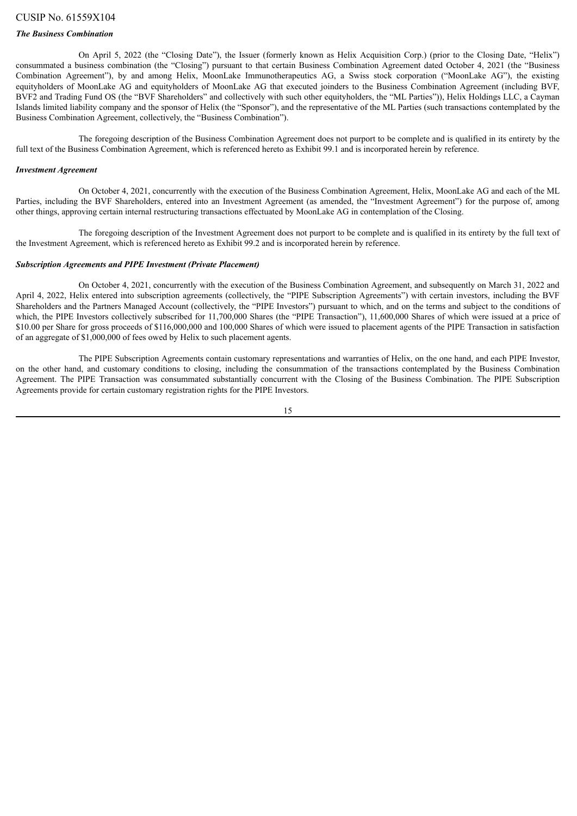### *The Business Combination*

On April 5, 2022 (the "Closing Date"), the Issuer (formerly known as Helix Acquisition Corp.) (prior to the Closing Date, "Helix") consummated a business combination (the "Closing") pursuant to that certain Business Combination Agreement dated October 4, 2021 (the "Business Combination Agreement"), by and among Helix, MoonLake Immunotherapeutics AG, a Swiss stock corporation ("MoonLake AG"), the existing equityholders of MoonLake AG and equityholders of MoonLake AG that executed joinders to the Business Combination Agreement (including BVF, BVF2 and Trading Fund OS (the "BVF Shareholders" and collectively with such other equityholders, the "ML Parties")), Helix Holdings LLC, a Cayman Islands limited liability company and the sponsor of Helix (the "Sponsor"), and the representative of the ML Parties (such transactions contemplated by the Business Combination Agreement, collectively, the "Business Combination").

The foregoing description of the Business Combination Agreement does not purport to be complete and is qualified in its entirety by the full text of the Business Combination Agreement, which is referenced hereto as Exhibit 99.1 and is incorporated herein by reference.

#### *Investment Agreement*

On October 4, 2021, concurrently with the execution of the Business Combination Agreement, Helix, MoonLake AG and each of the ML Parties, including the BVF Shareholders, entered into an Investment Agreement (as amended, the "Investment Agreement") for the purpose of, among other things, approving certain internal restructuring transactions effectuated by MoonLake AG in contemplation of the Closing.

The foregoing description of the Investment Agreement does not purport to be complete and is qualified in its entirety by the full text of the Investment Agreement, which is referenced hereto as Exhibit 99.2 and is incorporated herein by reference.

#### *Subscription Agreements and PIPE Investment (Private Placement)*

On October 4, 2021, concurrently with the execution of the Business Combination Agreement, and subsequently on March 31, 2022 and April 4, 2022, Helix entered into subscription agreements (collectively, the "PIPE Subscription Agreements") with certain investors, including the BVF Shareholders and the Partners Managed Account (collectively, the "PIPE Investors") pursuant to which, and on the terms and subject to the conditions of which, the PIPE Investors collectively subscribed for 11,700,000 Shares (the "PIPE Transaction"), 11,600,000 Shares of which were issued at a price of \$10.00 per Share for gross proceeds of \$116,000,000 and 100,000 Shares of which were issued to placement agents of the PIPE Transaction in satisfaction of an aggregate of \$1,000,000 of fees owed by Helix to such placement agents.

The PIPE Subscription Agreements contain customary representations and warranties of Helix, on the one hand, and each PIPE Investor, on the other hand, and customary conditions to closing, including the consummation of the transactions contemplated by the Business Combination Agreement. The PIPE Transaction was consummated substantially concurrent with the Closing of the Business Combination. The PIPE Subscription Agreements provide for certain customary registration rights for the PIPE Investors.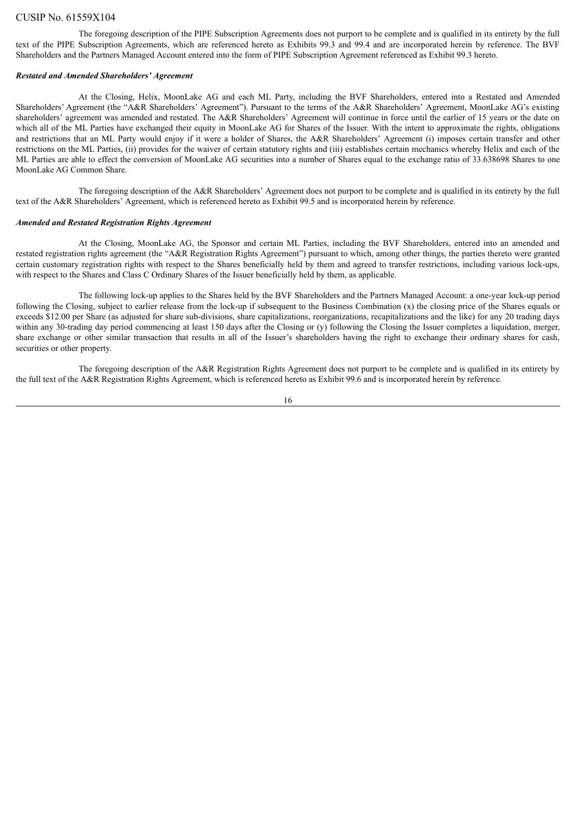The foregoing description of the PIPE Subscription Agreements does not purport to be complete and is qualified in its entirety by the full text of the PIPE Subscription Agreements, which are referenced hereto as Exhibits 99.3 and 99.4 and are incorporated herein by reference. The BVF Shareholders and the Partners Managed Account entered into the form of PIPE Subscription Agreement referenced as Exhibit 99.3 hereto.

#### *Restated and Amended Shareholders' Agreement*

At the Closing, Helix, MoonLake AG and each ML Party, including the BVF Shareholders, entered into a Restated and Amended Shareholders' Agreement (the "A&R Shareholders' Agreement"). Pursuant to the terms of the A&R Shareholders' Agreement, MoonLake AG's existing shareholders' agreement was amended and restated. The A&R Shareholders' Agreement will continue in force until the earlier of 15 years or the date on which all of the ML Parties have exchanged their equity in MoonLake AG for Shares of the Issuer. With the intent to approximate the rights, obligations and restrictions that an ML Party would enjoy if it were a holder of Shares, the A&R Shareholders' Agreement (i) imposes certain transfer and other restrictions on the ML Parties, (ii) provides for the waiver of certain statutory rights and (iii) establishes certain mechanics whereby Helix and each of the ML Parties are able to effect the conversion of MoonLake AG securities into a number of Shares equal to the exchange ratio of 33.638698 Shares to one MoonLake AG Common Share.

The foregoing description of the A&R Shareholders' Agreement does not purport to be complete and is qualified in its entirety by the full text of the A&R Shareholders' Agreement, which is referenced hereto as Exhibit 99.5 and is incorporated herein by reference.

#### *Amended and Restated Registration Rights Agreement*

At the Closing, MoonLake AG, the Sponsor and certain ML Parties, including the BVF Shareholders, entered into an amended and restated registration rights agreement (the "A&R Registration Rights Agreement") pursuant to which, among other things, the parties thereto were granted certain customary registration rights with respect to the Shares beneficially held by them and agreed to transfer restrictions, including various lock-ups, with respect to the Shares and Class C Ordinary Shares of the Issuer beneficially held by them, as applicable.

The following lock-up applies to the Shares held by the BVF Shareholders and the Partners Managed Account: a one-year lock-up period following the Closing, subject to earlier release from the lock-up if subsequent to the Business Combination (x) the closing price of the Shares equals or exceeds \$12.00 per Share (as adjusted for share sub-divisions, share capitalizations, reorganizations, recapitalizations and the like) for any 20 trading days within any 30-trading day period commencing at least 150 days after the Closing or (y) following the Closing the Issuer completes a liquidation, merger, share exchange or other similar transaction that results in all of the Issuer's shareholders having the right to exchange their ordinary shares for cash, securities or other property.

The foregoing description of the A&R Registration Rights Agreement does not purport to be complete and is qualified in its entirety by the full text of the A&R Registration Rights Agreement, which is referenced hereto as Exhibit 99.6 and is incorporated herein by reference.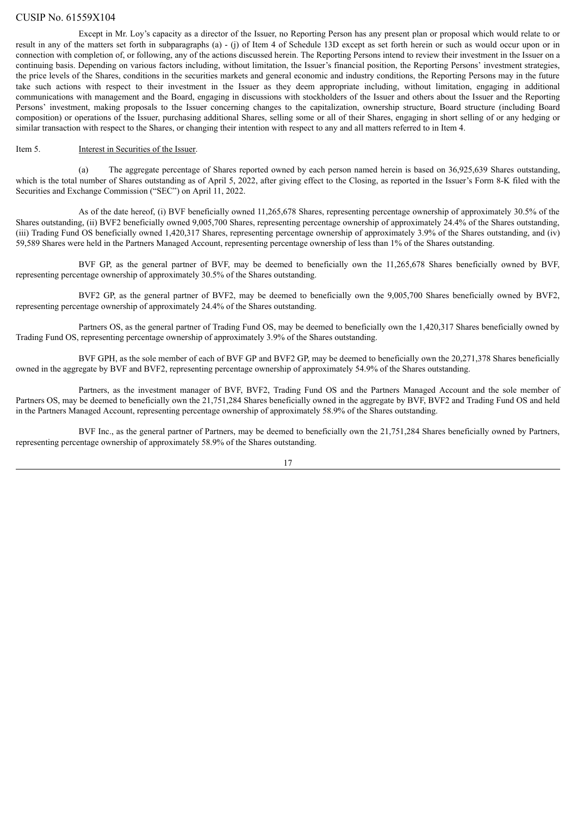Except in Mr. Loy's capacity as a director of the Issuer, no Reporting Person has any present plan or proposal which would relate to or result in any of the matters set forth in subparagraphs (a) - (j) of Item 4 of Schedule 13D except as set forth herein or such as would occur upon or in connection with completion of, or following, any of the actions discussed herein. The Reporting Persons intend to review their investment in the Issuer on a continuing basis. Depending on various factors including, without limitation, the Issuer's financial position, the Reporting Persons' investment strategies, the price levels of the Shares, conditions in the securities markets and general economic and industry conditions, the Reporting Persons may in the future take such actions with respect to their investment in the Issuer as they deem appropriate including, without limitation, engaging in additional communications with management and the Board, engaging in discussions with stockholders of the Issuer and others about the Issuer and the Reporting Persons' investment, making proposals to the Issuer concerning changes to the capitalization, ownership structure, Board structure (including Board composition) or operations of the Issuer, purchasing additional Shares, selling some or all of their Shares, engaging in short selling of or any hedging or similar transaction with respect to the Shares, or changing their intention with respect to any and all matters referred to in Item 4.

#### Item 5. Interest in Securities of the Issuer.

(a) The aggregate percentage of Shares reported owned by each person named herein is based on 36,925,639 Shares outstanding, which is the total number of Shares outstanding as of April 5, 2022, after giving effect to the Closing, as reported in the Issuer's Form 8-K filed with the Securities and Exchange Commission ("SEC") on April 11, 2022.

As of the date hereof, (i) BVF beneficially owned 11,265,678 Shares, representing percentage ownership of approximately 30.5% of the Shares outstanding, (ii) BVF2 beneficially owned 9,005,700 Shares, representing percentage ownership of approximately 24.4% of the Shares outstanding, (iii) Trading Fund OS beneficially owned 1,420,317 Shares, representing percentage ownership of approximately 3.9% of the Shares outstanding, and (iv) 59,589 Shares were held in the Partners Managed Account, representing percentage ownership of less than 1% of the Shares outstanding.

BVF GP, as the general partner of BVF, may be deemed to beneficially own the 11,265,678 Shares beneficially owned by BVF, representing percentage ownership of approximately 30.5% of the Shares outstanding.

BVF2 GP, as the general partner of BVF2, may be deemed to beneficially own the 9,005,700 Shares beneficially owned by BVF2, representing percentage ownership of approximately 24.4% of the Shares outstanding.

Partners OS, as the general partner of Trading Fund OS, may be deemed to beneficially own the 1,420,317 Shares beneficially owned by Trading Fund OS, representing percentage ownership of approximately 3.9% of the Shares outstanding.

BVF GPH, as the sole member of each of BVF GP and BVF2 GP, may be deemed to beneficially own the 20,271,378 Shares beneficially owned in the aggregate by BVF and BVF2, representing percentage ownership of approximately 54.9% of the Shares outstanding.

Partners, as the investment manager of BVF, BVF2, Trading Fund OS and the Partners Managed Account and the sole member of Partners OS, may be deemed to beneficially own the 21,751,284 Shares beneficially owned in the aggregate by BVF, BVF2 and Trading Fund OS and held in the Partners Managed Account, representing percentage ownership of approximately 58.9% of the Shares outstanding.

BVF Inc., as the general partner of Partners, may be deemed to beneficially own the 21,751,284 Shares beneficially owned by Partners, representing percentage ownership of approximately 58.9% of the Shares outstanding.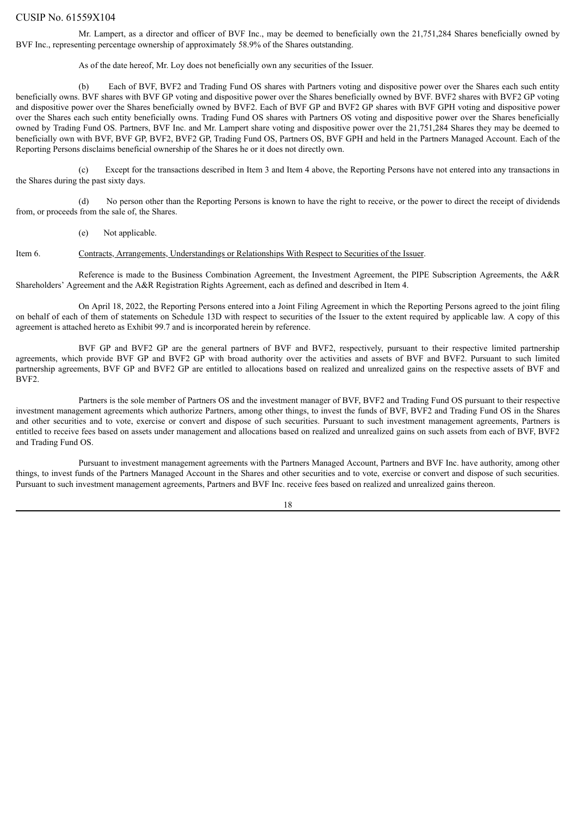Mr. Lampert, as a director and officer of BVF Inc., may be deemed to beneficially own the 21,751,284 Shares beneficially owned by BVF Inc., representing percentage ownership of approximately 58.9% of the Shares outstanding.

As of the date hereof, Mr. Loy does not beneficially own any securities of the Issuer.

(b) Each of BVF, BVF2 and Trading Fund OS shares with Partners voting and dispositive power over the Shares each such entity beneficially owns. BVF shares with BVF GP voting and dispositive power over the Shares beneficially owned by BVF. BVF2 shares with BVF2 GP voting and dispositive power over the Shares beneficially owned by BVF2. Each of BVF GP and BVF2 GP shares with BVF GPH voting and dispositive power over the Shares each such entity beneficially owns. Trading Fund OS shares with Partners OS voting and dispositive power over the Shares beneficially owned by Trading Fund OS. Partners, BVF Inc. and Mr. Lampert share voting and dispositive power over the 21,751,284 Shares they may be deemed to beneficially own with BVF, BVF GP, BVF2, BVF2 GP, Trading Fund OS, Partners OS, BVF GPH and held in the Partners Managed Account. Each of the Reporting Persons disclaims beneficial ownership of the Shares he or it does not directly own.

(c) Except for the transactions described in Item 3 and Item 4 above, the Reporting Persons have not entered into any transactions in the Shares during the past sixty days.

(d) No person other than the Reporting Persons is known to have the right to receive, or the power to direct the receipt of dividends from, or proceeds from the sale of, the Shares.

(e) Not applicable.

Item 6. Contracts, Arrangements, Understandings or Relationships With Respect to Securities of the Issuer.

Reference is made to the Business Combination Agreement, the Investment Agreement, the PIPE Subscription Agreements, the A&R Shareholders' Agreement and the A&R Registration Rights Agreement, each as defined and described in Item 4.

On April 18, 2022, the Reporting Persons entered into a Joint Filing Agreement in which the Reporting Persons agreed to the joint filing on behalf of each of them of statements on Schedule 13D with respect to securities of the Issuer to the extent required by applicable law. A copy of this agreement is attached hereto as Exhibit 99.7 and is incorporated herein by reference.

BVF GP and BVF2 GP are the general partners of BVF and BVF2, respectively, pursuant to their respective limited partnership agreements, which provide BVF GP and BVF2 GP with broad authority over the activities and assets of BVF and BVF2. Pursuant to such limited partnership agreements, BVF GP and BVF2 GP are entitled to allocations based on realized and unrealized gains on the respective assets of BVF and BVF2.

Partners is the sole member of Partners OS and the investment manager of BVF, BVF2 and Trading Fund OS pursuant to their respective investment management agreements which authorize Partners, among other things, to invest the funds of BVF, BVF2 and Trading Fund OS in the Shares and other securities and to vote, exercise or convert and dispose of such securities. Pursuant to such investment management agreements, Partners is entitled to receive fees based on assets under management and allocations based on realized and unrealized gains on such assets from each of BVF, BVF2 and Trading Fund OS.

Pursuant to investment management agreements with the Partners Managed Account, Partners and BVF Inc. have authority, among other things, to invest funds of the Partners Managed Account in the Shares and other securities and to vote, exercise or convert and dispose of such securities. Pursuant to such investment management agreements, Partners and BVF Inc. receive fees based on realized and unrealized gains thereon.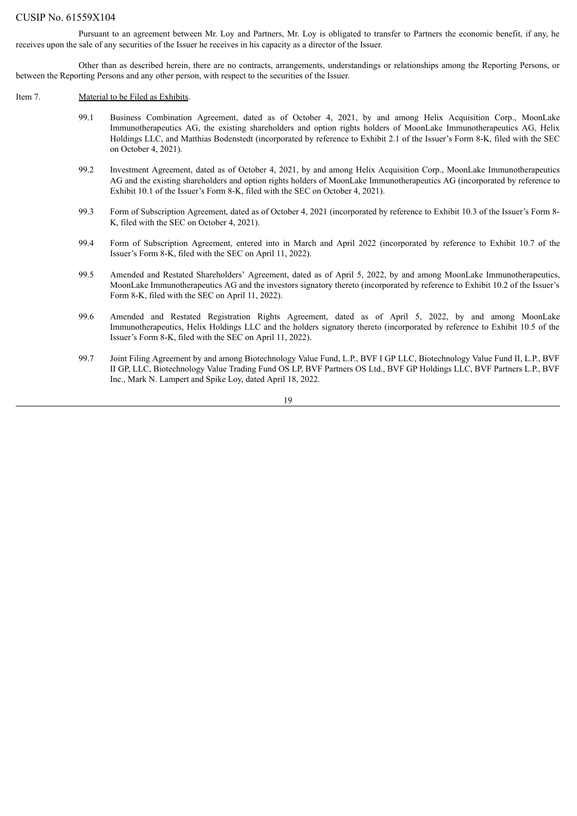Pursuant to an agreement between Mr. Loy and Partners, Mr. Loy is obligated to transfer to Partners the economic benefit, if any, he receives upon the sale of any securities of the Issuer he receives in his capacity as a director of the Issuer.

Other than as described herein, there are no contracts, arrangements, understandings or relationships among the Reporting Persons, or between the Reporting Persons and any other person, with respect to the securities of the Issuer.

#### Item 7. Material to be Filed as Exhibits.

- 99.1 Business Combination Agreement, dated as of October 4, 2021, by and among Helix Acquisition Corp., MoonLake Immunotherapeutics AG, the existing shareholders and option rights holders of MoonLake Immunotherapeutics AG, Helix Holdings LLC, and Matthias Bodenstedt (incorporated by reference to Exhibit 2.1 of the Issuer's Form 8-K, filed with the SEC on October 4, 2021).
- 99.2 Investment Agreement, dated as of October 4, 2021, by and among Helix Acquisition Corp., MoonLake Immunotherapeutics AG and the existing shareholders and option rights holders of MoonLake Immunotherapeutics AG (incorporated by reference to Exhibit 10.1 of the Issuer's Form 8-K, filed with the SEC on October 4, 2021).
- 99.3 Form of Subscription Agreement, dated as of October 4, 2021 (incorporated by reference to Exhibit 10.3 of the Issuer's Form 8- K, filed with the SEC on October 4, 2021).
- 99.4 Form of Subscription Agreement, entered into in March and April 2022 (incorporated by reference to Exhibit 10.7 of the Issuer's Form 8-K, filed with the SEC on April 11, 2022).
- 99.5 Amended and Restated Shareholders' Agreement, dated as of April 5, 2022, by and among MoonLake Immunotherapeutics, MoonLake Immunotherapeutics AG and the investors signatory thereto (incorporated by reference to Exhibit 10.2 of the Issuer's Form 8-K, filed with the SEC on April 11, 2022).
- 99.6 Amended and Restated Registration Rights Agreement, dated as of April 5, 2022, by and among MoonLake Immunotherapeutics, Helix Holdings LLC and the holders signatory thereto (incorporated by reference to Exhibit 10.5 of the Issuer's Form 8-K, filed with the SEC on April 11, 2022).
- 99.7 Joint Filing Agreement by and among Biotechnology Value Fund, L.P., BVF I GP LLC, Biotechnology Value Fund II, L.P., BVF II GP, LLC, Biotechnology Value Trading Fund OS LP, BVF Partners OS Ltd., BVF GP Holdings LLC, BVF Partners L.P., BVF Inc., Mark N. Lampert and Spike Loy, dated April 18, 2022.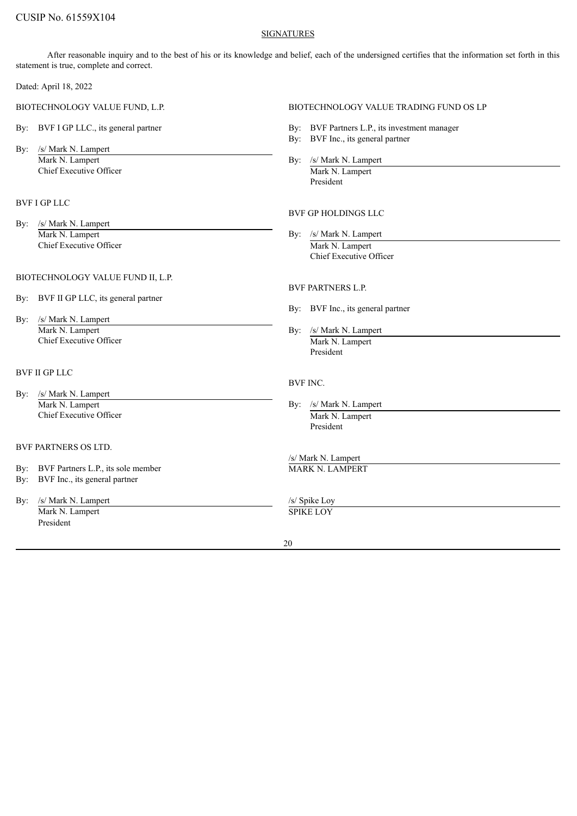### SIGNATURES

After reasonable inquiry and to the best of his or its knowledge and belief, each of the undersigned certifies that the information set forth in this statement is true, complete and correct.

Dated: April 18, 2022

- By: BVF I GP LLC., its general partner By: BVF Partners L.P., its investment manager
- By: /s/ Mark N. Lampert Mark N. Lampert By: /s/ Mark N. Lampert By: /s/ Mark N. Lampert Chief Executive Officer Mark N. Lampert

# BVF I GP LLC

By: /s/ Mark N. Lampert Mark N. Lampert By: /s/ Mark N. Lampert Chief Executive Officer Mark N. Lampert

#### BIOTECHNOLOGY VALUE FUND II, L.P.

- By: BVF II GP LLC, its general partner
- By: /s/ Mark N. Lampert Mark N. Lampert By: /s/ Mark N. Lampert Chief Executive Officer Mark N. Lampert

# BVF II GP LLC

- By: /s/ Mark N. Lampert Mark N. Lampert By: /s/ Mark N. Lampert By: /s/ Mark N. Lampert Chief Executive Officer Mark N. Lampert
- BVF PARTNERS OS LTD.
- By: BVF Partners L.P., its sole member MARK N. LAMPERT
- By: BVF Inc., its general partner
- By: /s/ Mark N. Lampert /s/ Spike Loy Mark N. Lampert SPIKE LOY President

# BIOTECHNOLOGY VALUE FUND, L.P. BIOTECHNOLOGY VALUE TRADING FUND OS LP

- 
- By: BVF Inc., its general partner
- 

President

# BVF GP HOLDINGS LLC

Chief Executive Officer

# BVF PARTNERS L.P.

- By: BVF Inc., its general partner
- President

#### BVF INC.

- - President

/s/ Mark N. Lampert